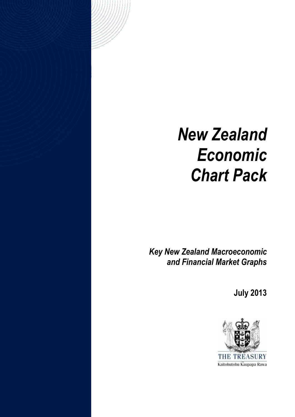# *New Zealand Economic Chart Pack*

*Key New Zealand Macroeconomic and Financial Market Graphs*

**July 2013**

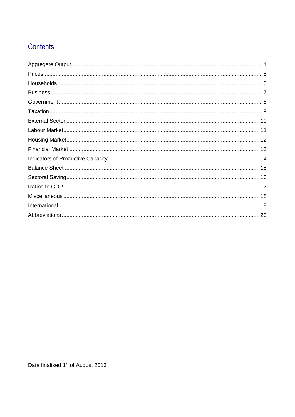## Contents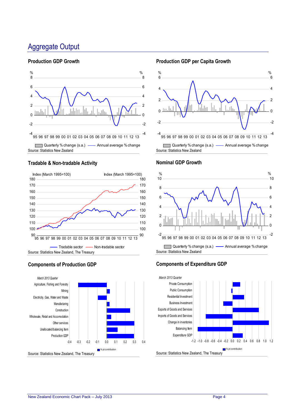## <span id="page-3-0"></span>Aggregate Output

#### **Production GDP Growth**



Source: Statistics New Zealand

#### **Tradable & Non-tradable Activity**



### **Components of Production GDP**



#### **Production GDP per Capita Growth**



#### **Nominal GDP Growth**



### **Components of Expenditure GDP**

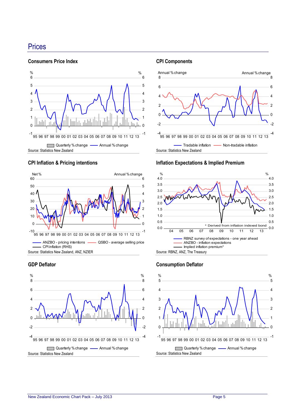## <span id="page-4-0"></span>**Prices**

**Consumers Price Index**



## **CPI Inflation & Pricing intentions**



Source: Statistics New Zealand, ANZ, NZIER





#### **CPI Components**



#### **Inflation Expectations & Implied Premium**



#### **Consumption Deflator**

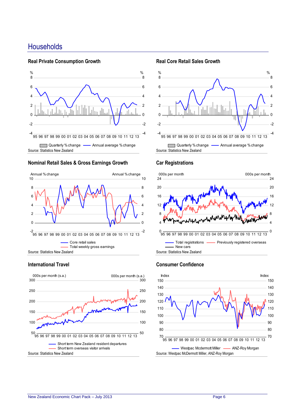## <span id="page-5-0"></span>**Households**

#### **Real Private Consumption Growth**



#### **Nominal Retail Sales & Gross Earnings Growth**



#### **International Travel**



#### **Real Core Retail Sales Growth**



#### **Car Registrations**



#### **Consumer Confidence**

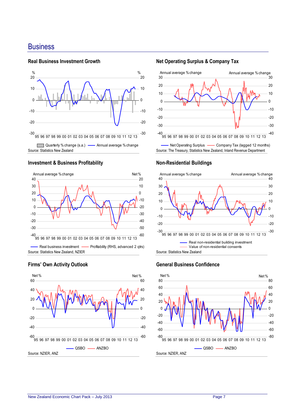## <span id="page-6-0"></span>**Business**

#### **Real Business Investment Growth**



#### **Investment & Business Profitability**





#### **Firms' Own Activity Outlook**

#### **Net Operating Surplus & Company Tax**



#### **Non-Residential Buildings**



#### **General Business Confidence**

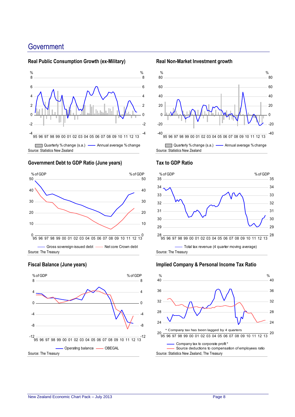## <span id="page-7-0"></span>**Government**



#### **Real Public Consumption Growth (ex-Military)**

## Source: Statistics New Zealand









#### **Real Non-Market Investment growth**





#### **Tax to GDP Ratio**

#### **Implied Company & Personal Income Tax Ratio**

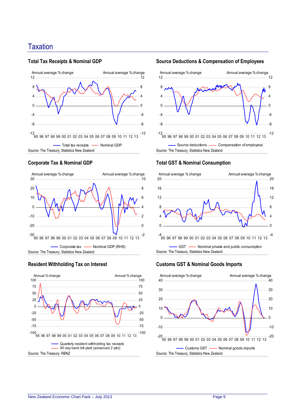## <span id="page-8-0"></span>**Taxation**

#### **Total Tax Receipts & Nominal GDP**



#### **Corporate Tax & Nominal GDP**



#### **Resident Withholding Tax on Interest**



#### -12 95 96 97 98 99 00 01 02 03 04 05 06 07 08 09 10 11 12 13 -8 -4  $\theta$ 4 8 12 -12 -8 -4 0 4 8 12 Annual average % change Mannual average % change

Source deductions - Compensation of employess

# Source: The Treasury, Statistics New Zealand

**Total GST & Nominal Consumption**

#### Source: The Treasury, Statistics New Zealand -4 95 96 97 98 99 00 01 02 03 04 05 06 07 08 09 10 11 12 13 0 4 8 12 16 20 -4  $\Omega$ 4 8 12 16 20 - GST - Nominal private and public consumption Annual average % change **Annual average %** change

#### **Customs GST & Nominal Goods Imports**



**Source Deductions & Compensation of Employees**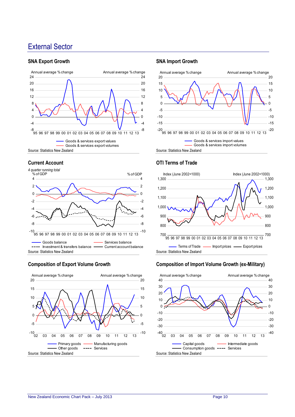## <span id="page-9-0"></span>External Sector

#### **SNA Export Growth**



#### **Current Account**



#### **Composition of Export Volume Growth**



#### **SNA Import Growth**



#### **OTI Terms of Trade**



#### **Composition of Import Volume Growth (ex-Military)**

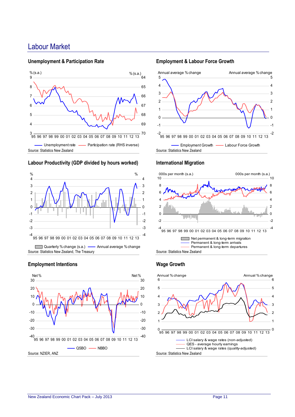## <span id="page-10-0"></span>Labour Market

#### **Unemployment & Participation Rate**



#### **Labour Productivity (GDP divided by hours worked)**



#### **Employment Intentions**



#### **Employment & Labour Force Growth**



#### **International Migration**



#### **Wage Growth**

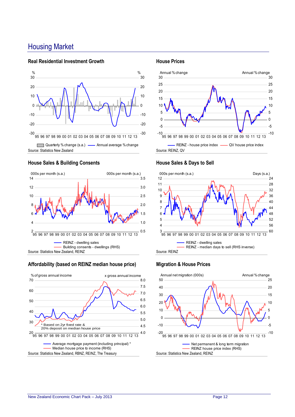## <span id="page-11-0"></span>Housing Market

#### **Real Residential Investment Growth**



#### **House Sales & Building Consents**



#### **Affordability (based on REINZ median house price)**



#### **House Prices**



#### **House Sales & Days to Sell**



#### **Migration & House Prices**

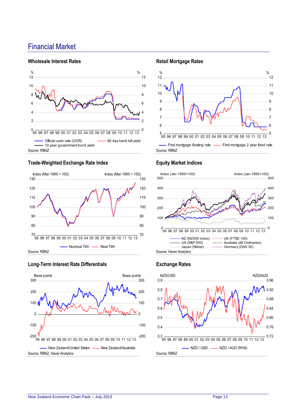## <span id="page-12-0"></span>Financial Market

#### **Wholesale Interest Rates**



#### **Trade-Weighted Exchange Rate Index**



#### **Long-Term Interest Rate Differentials**



#### **Retail Mortgage Rates**



#### **Equity Market Indices**



#### **Exchange Rates**

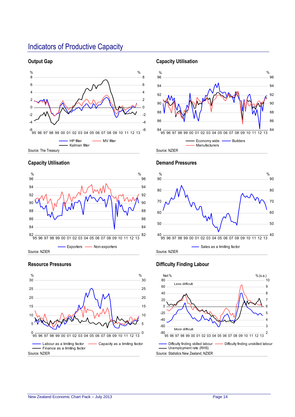## <span id="page-13-0"></span>Indicators of Productive Capacity

#### **Output Gap**



#### **Capacity Utilisation**



#### **Resource Pressures**



#### **Capacity Utilisation**





# **Demand Pressures**

#### **Difficulty Finding Labour**

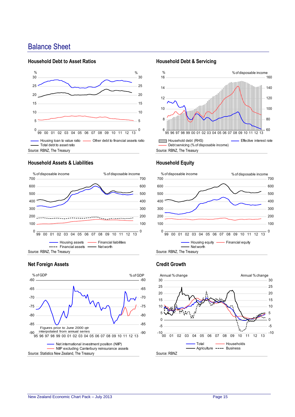## <span id="page-14-0"></span>Balance Sheet

#### **Household Debt to Asset Ratios**



Source: RBNZ, The Treasury

#### **Household Assets & Liabilities**



#### **Net Foreign Assets**



#### **Household Debt & Servicing**



#### **Household Equity**



#### **Credit Growth**

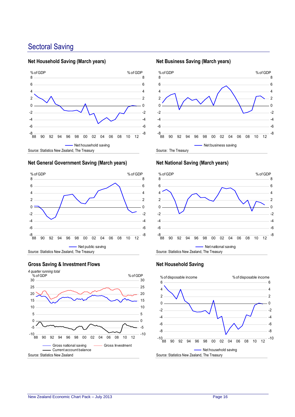## <span id="page-15-0"></span>Sectoral Saving

#### **Net Household Saving (March years)**



#### **Net General Government Saving (March years)**



#### **Gross Saving & Investment Flows**



#### **Net Business Saving (March years)**



#### **Net National Saving (March years)**



#### **Net Household Saving**

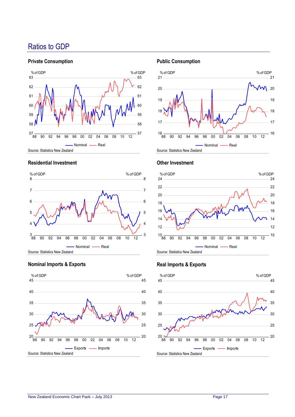## <span id="page-16-0"></span>Ratios to GDP

#### **Private Consumption**



#### **Residential Investment**



**Nominal Imports & Exports**



#### **Public Consumption**





#### **Other Investment**

#### **Real Imports & Exports**

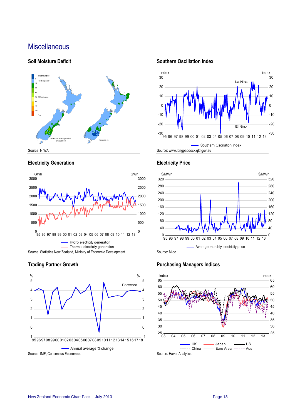## <span id="page-17-0"></span>**Miscellaneous**

#### **Soil Moisture Deficit**



#### **Electricity Generation**





#### **Trading Partner Growth**

#### **Southern Oscillation Index**





### **Electricity Price**

#### **Purchasing Managers Indices**

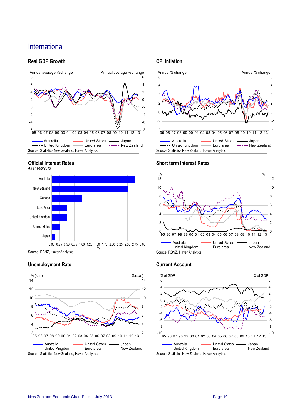## <span id="page-18-0"></span>International

#### **Real GDP Growth**



#### **Official Interest Rates**



Source: RBNZ, Haver Analytics

### **Unemployment Rate**



#### **CPI Inflation**



#### **Short term Interest Rates**